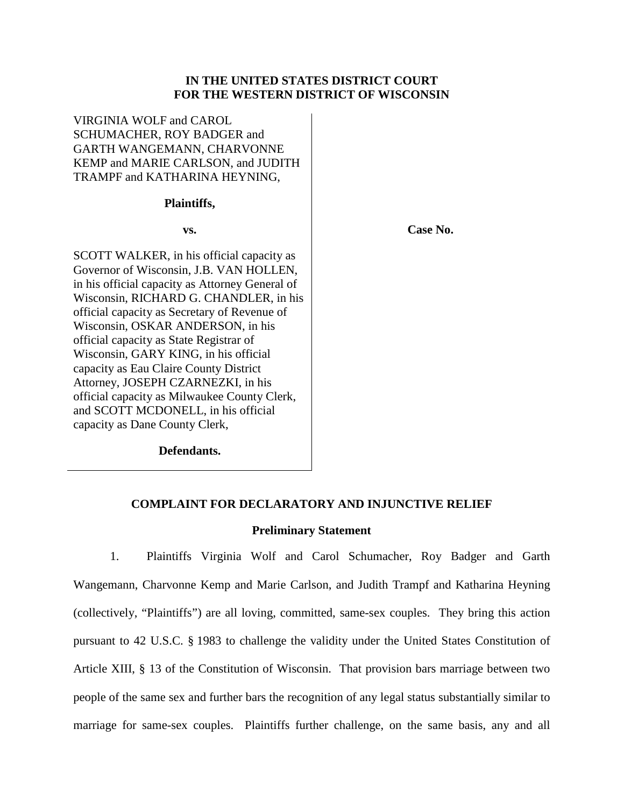## **IN THE UNITED STATES DISTRICT COURT FOR THE WESTERN DISTRICT OF WISCONSIN**

VIRGINIA WOLF and CAROL SCHUMACHER, ROY BADGER and GARTH WANGEMANN, CHARVONNE KEMP and MARIE CARLSON, and JUDITH TRAMPF and KATHARINA HEYNING,

#### **Plaintiffs,**

**vs.**

SCOTT WALKER, in his official capacity as Governor of Wisconsin, J.B. VAN HOLLEN, in his official capacity as Attorney General of Wisconsin, RICHARD G. CHANDLER, in his official capacity as Secretary of Revenue of Wisconsin, OSKAR ANDERSON, in his official capacity as State Registrar of Wisconsin, GARY KING, in his official capacity as Eau Claire County District Attorney, JOSEPH CZARNEZKI, in his official capacity as Milwaukee County Clerk, and SCOTT MCDONELL, in his official capacity as Dane County Clerk,

**Defendants.**

**Case No.**

## **COMPLAINT FOR DECLARATORY AND INJUNCTIVE RELIEF**

#### **Preliminary Statement**

1. Plaintiffs Virginia Wolf and Carol Schumacher, Roy Badger and Garth Wangemann, Charvonne Kemp and Marie Carlson, and Judith Trampf and Katharina Heyning (collectively, "Plaintiffs") are all loving, committed, same-sex couples. They bring this action pursuant to 42 U.S.C. § 1983 to challenge the validity under the United States Constitution of Article XIII, § 13 of the Constitution of Wisconsin. That provision bars marriage between two people of the same sex and further bars the recognition of any legal status substantially similar to marriage for same-sex couples. Plaintiffs further challenge, on the same basis, any and all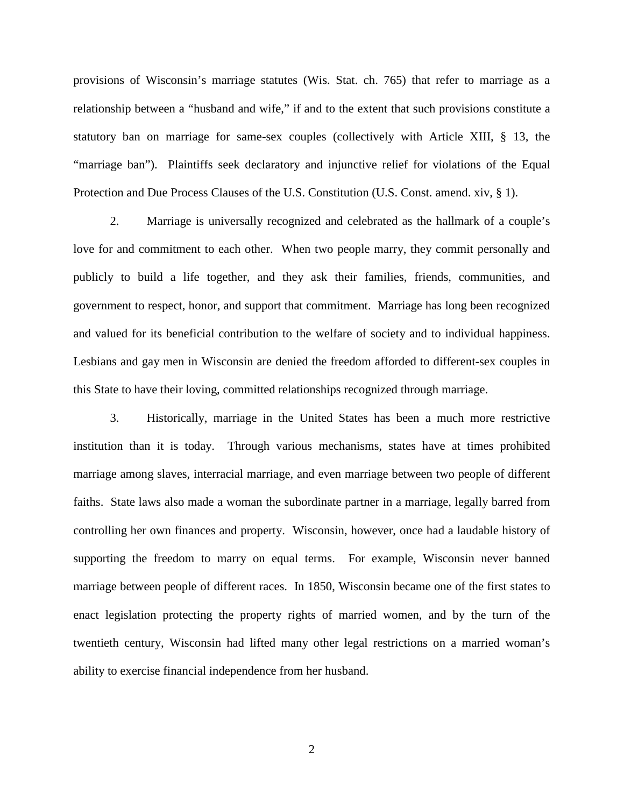provisions of Wisconsin's marriage statutes (Wis. Stat. ch. 765) that refer to marriage as a relationship between a "husband and wife," if and to the extent that such provisions constitute a statutory ban on marriage for same-sex couples (collectively with Article XIII, § 13, the "marriage ban"). Plaintiffs seek declaratory and injunctive relief for violations of the Equal Protection and Due Process Clauses of the U.S. Constitution (U.S. Const. amend. xiv, § 1).

2. Marriage is universally recognized and celebrated as the hallmark of a couple's love for and commitment to each other. When two people marry, they commit personally and publicly to build a life together, and they ask their families, friends, communities, and government to respect, honor, and support that commitment. Marriage has long been recognized and valued for its beneficial contribution to the welfare of society and to individual happiness. Lesbians and gay men in Wisconsin are denied the freedom afforded to different-sex couples in this State to have their loving, committed relationships recognized through marriage.

3. Historically, marriage in the United States has been a much more restrictive institution than it is today. Through various mechanisms, states have at times prohibited marriage among slaves, interracial marriage, and even marriage between two people of different faiths. State laws also made a woman the subordinate partner in a marriage, legally barred from controlling her own finances and property. Wisconsin, however, once had a laudable history of supporting the freedom to marry on equal terms. For example, Wisconsin never banned marriage between people of different races. In 1850, Wisconsin became one of the first states to enact legislation protecting the property rights of married women, and by the turn of the twentieth century, Wisconsin had lifted many other legal restrictions on a married woman's ability to exercise financial independence from her husband.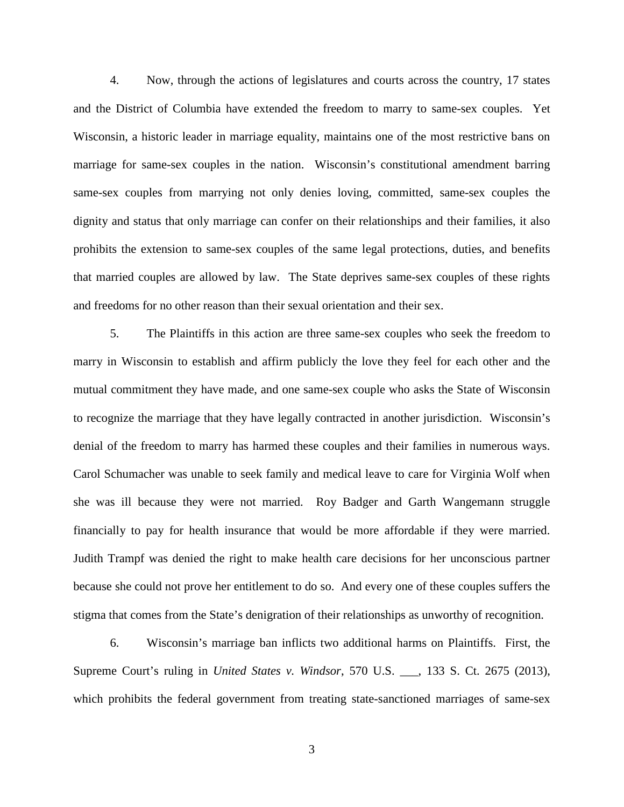4. Now, through the actions of legislatures and courts across the country, 17 states and the District of Columbia have extended the freedom to marry to same-sex couples. Yet Wisconsin, a historic leader in marriage equality, maintains one of the most restrictive bans on marriage for same-sex couples in the nation. Wisconsin's constitutional amendment barring same-sex couples from marrying not only denies loving, committed, same-sex couples the dignity and status that only marriage can confer on their relationships and their families, it also prohibits the extension to same-sex couples of the same legal protections, duties, and benefits that married couples are allowed by law. The State deprives same-sex couples of these rights and freedoms for no other reason than their sexual orientation and their sex.

5. The Plaintiffs in this action are three same-sex couples who seek the freedom to marry in Wisconsin to establish and affirm publicly the love they feel for each other and the mutual commitment they have made, and one same-sex couple who asks the State of Wisconsin to recognize the marriage that they have legally contracted in another jurisdiction. Wisconsin's denial of the freedom to marry has harmed these couples and their families in numerous ways. Carol Schumacher was unable to seek family and medical leave to care for Virginia Wolf when she was ill because they were not married. Roy Badger and Garth Wangemann struggle financially to pay for health insurance that would be more affordable if they were married. Judith Trampf was denied the right to make health care decisions for her unconscious partner because she could not prove her entitlement to do so. And every one of these couples suffers the stigma that comes from the State's denigration of their relationships as unworthy of recognition.

6. Wisconsin's marriage ban inflicts two additional harms on Plaintiffs. First, the Supreme Court's ruling in *United States v. Windsor*, 570 U.S. \_\_\_, 133 S. Ct. 2675 (2013), which prohibits the federal government from treating state-sanctioned marriages of same-sex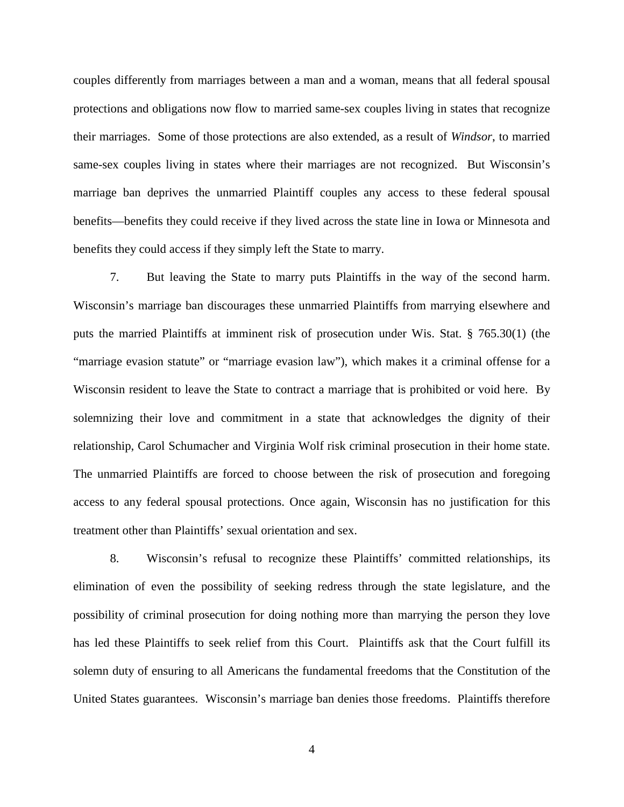couples differently from marriages between a man and a woman, means that all federal spousal protections and obligations now flow to married same-sex couples living in states that recognize their marriages. Some of those protections are also extended, as a result of *Windsor*, to married same-sex couples living in states where their marriages are not recognized. But Wisconsin's marriage ban deprives the unmarried Plaintiff couples any access to these federal spousal benefits—benefits they could receive if they lived across the state line in Iowa or Minnesota and benefits they could access if they simply left the State to marry.

7. But leaving the State to marry puts Plaintiffs in the way of the second harm. Wisconsin's marriage ban discourages these unmarried Plaintiffs from marrying elsewhere and puts the married Plaintiffs at imminent risk of prosecution under Wis. Stat. § 765.30(1) (the "marriage evasion statute" or "marriage evasion law"), which makes it a criminal offense for a Wisconsin resident to leave the State to contract a marriage that is prohibited or void here. By solemnizing their love and commitment in a state that acknowledges the dignity of their relationship, Carol Schumacher and Virginia Wolf risk criminal prosecution in their home state. The unmarried Plaintiffs are forced to choose between the risk of prosecution and foregoing access to any federal spousal protections. Once again, Wisconsin has no justification for this treatment other than Plaintiffs' sexual orientation and sex.

8. Wisconsin's refusal to recognize these Plaintiffs' committed relationships, its elimination of even the possibility of seeking redress through the state legislature, and the possibility of criminal prosecution for doing nothing more than marrying the person they love has led these Plaintiffs to seek relief from this Court. Plaintiffs ask that the Court fulfill its solemn duty of ensuring to all Americans the fundamental freedoms that the Constitution of the United States guarantees. Wisconsin's marriage ban denies those freedoms. Plaintiffs therefore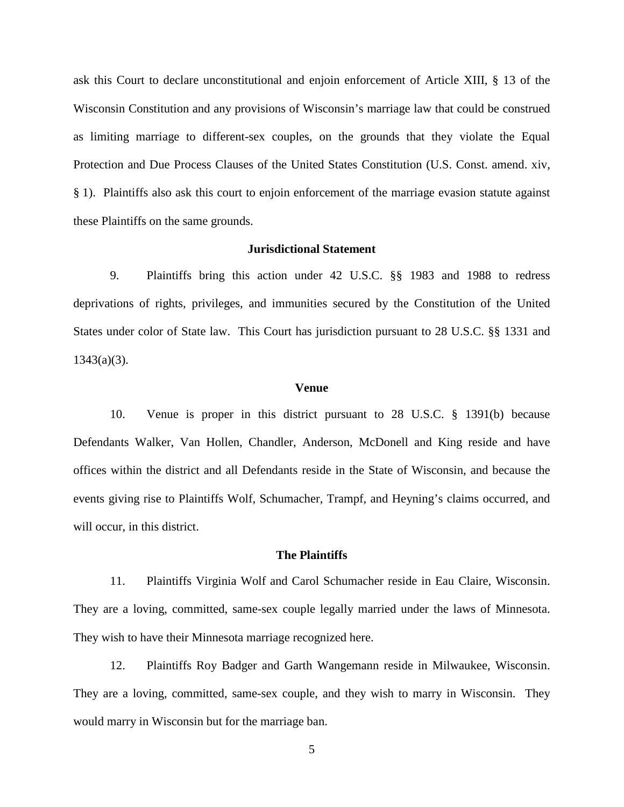ask this Court to declare unconstitutional and enjoin enforcement of Article XIII, § 13 of the Wisconsin Constitution and any provisions of Wisconsin's marriage law that could be construed as limiting marriage to different-sex couples, on the grounds that they violate the Equal Protection and Due Process Clauses of the United States Constitution (U.S. Const. amend. xiv, § 1). Plaintiffs also ask this court to enjoin enforcement of the marriage evasion statute against these Plaintiffs on the same grounds.

## **Jurisdictional Statement**

9. Plaintiffs bring this action under 42 U.S.C. §§ 1983 and 1988 to redress deprivations of rights, privileges, and immunities secured by the Constitution of the United States under color of State law. This Court has jurisdiction pursuant to 28 U.S.C. §§ 1331 and  $1343(a)(3)$ .

#### **Venue**

10. Venue is proper in this district pursuant to 28 U.S.C. § 1391(b) because Defendants Walker, Van Hollen, Chandler, Anderson, McDonell and King reside and have offices within the district and all Defendants reside in the State of Wisconsin, and because the events giving rise to Plaintiffs Wolf, Schumacher, Trampf, and Heyning's claims occurred, and will occur, in this district.

## **The Plaintiffs**

11. Plaintiffs Virginia Wolf and Carol Schumacher reside in Eau Claire, Wisconsin. They are a loving, committed, same-sex couple legally married under the laws of Minnesota. They wish to have their Minnesota marriage recognized here.

12. Plaintiffs Roy Badger and Garth Wangemann reside in Milwaukee, Wisconsin. They are a loving, committed, same-sex couple, and they wish to marry in Wisconsin. They would marry in Wisconsin but for the marriage ban.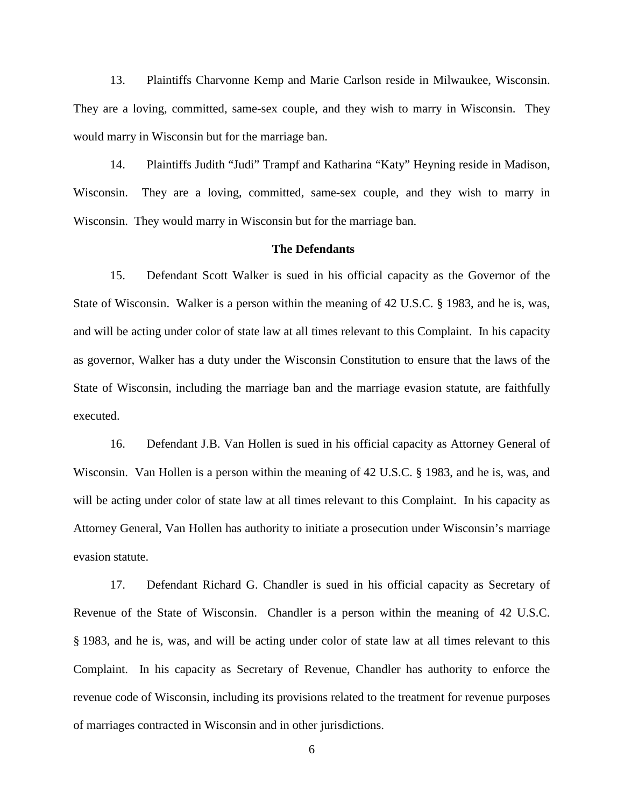13. Plaintiffs Charvonne Kemp and Marie Carlson reside in Milwaukee, Wisconsin. They are a loving, committed, same-sex couple, and they wish to marry in Wisconsin. They would marry in Wisconsin but for the marriage ban.

14. Plaintiffs Judith "Judi" Trampf and Katharina "Katy" Heyning reside in Madison, Wisconsin. They are a loving, committed, same-sex couple, and they wish to marry in Wisconsin. They would marry in Wisconsin but for the marriage ban.

## **The Defendants**

15. Defendant Scott Walker is sued in his official capacity as the Governor of the State of Wisconsin. Walker is a person within the meaning of 42 U.S.C. § 1983, and he is, was, and will be acting under color of state law at all times relevant to this Complaint. In his capacity as governor, Walker has a duty under the Wisconsin Constitution to ensure that the laws of the State of Wisconsin, including the marriage ban and the marriage evasion statute, are faithfully executed.

16. Defendant J.B. Van Hollen is sued in his official capacity as Attorney General of Wisconsin. Van Hollen is a person within the meaning of 42 U.S.C. § 1983, and he is, was, and will be acting under color of state law at all times relevant to this Complaint. In his capacity as Attorney General, Van Hollen has authority to initiate a prosecution under Wisconsin's marriage evasion statute.

17. Defendant Richard G. Chandler is sued in his official capacity as Secretary of Revenue of the State of Wisconsin. Chandler is a person within the meaning of 42 U.S.C. § 1983, and he is, was, and will be acting under color of state law at all times relevant to this Complaint. In his capacity as Secretary of Revenue, Chandler has authority to enforce the revenue code of Wisconsin, including its provisions related to the treatment for revenue purposes of marriages contracted in Wisconsin and in other jurisdictions.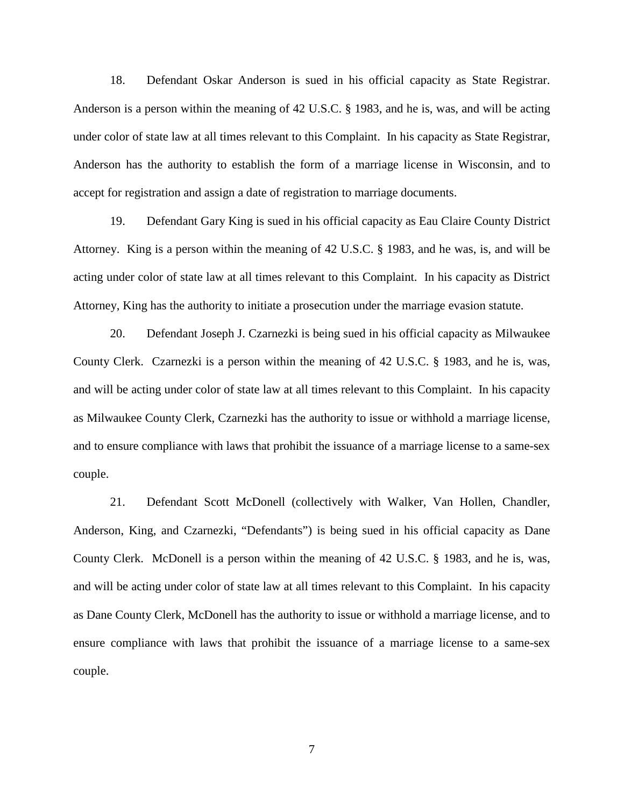18. Defendant Oskar Anderson is sued in his official capacity as State Registrar. Anderson is a person within the meaning of 42 U.S.C. § 1983, and he is, was, and will be acting under color of state law at all times relevant to this Complaint. In his capacity as State Registrar, Anderson has the authority to establish the form of a marriage license in Wisconsin, and to accept for registration and assign a date of registration to marriage documents.

19. Defendant Gary King is sued in his official capacity as Eau Claire County District Attorney. King is a person within the meaning of 42 U.S.C. § 1983, and he was, is, and will be acting under color of state law at all times relevant to this Complaint. In his capacity as District Attorney, King has the authority to initiate a prosecution under the marriage evasion statute.

20. Defendant Joseph J. Czarnezki is being sued in his official capacity as Milwaukee County Clerk. Czarnezki is a person within the meaning of 42 U.S.C. § 1983, and he is, was, and will be acting under color of state law at all times relevant to this Complaint. In his capacity as Milwaukee County Clerk, Czarnezki has the authority to issue or withhold a marriage license, and to ensure compliance with laws that prohibit the issuance of a marriage license to a same-sex couple.

21. Defendant Scott McDonell (collectively with Walker, Van Hollen, Chandler, Anderson, King, and Czarnezki, "Defendants") is being sued in his official capacity as Dane County Clerk. McDonell is a person within the meaning of 42 U.S.C. § 1983, and he is, was, and will be acting under color of state law at all times relevant to this Complaint. In his capacity as Dane County Clerk, McDonell has the authority to issue or withhold a marriage license, and to ensure compliance with laws that prohibit the issuance of a marriage license to a same-sex couple.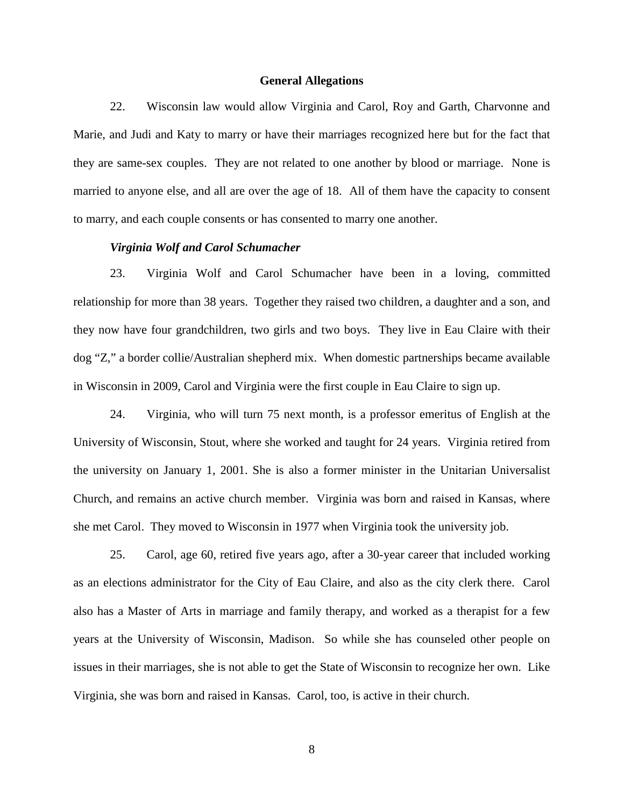#### **General Allegations**

22. Wisconsin law would allow Virginia and Carol, Roy and Garth, Charvonne and Marie, and Judi and Katy to marry or have their marriages recognized here but for the fact that they are same-sex couples. They are not related to one another by blood or marriage. None is married to anyone else, and all are over the age of 18. All of them have the capacity to consent to marry, and each couple consents or has consented to marry one another.

## *Virginia Wolf and Carol Schumacher*

23. Virginia Wolf and Carol Schumacher have been in a loving, committed relationship for more than 38 years. Together they raised two children, a daughter and a son, and they now have four grandchildren, two girls and two boys. They live in Eau Claire with their dog "Z," a border collie/Australian shepherd mix. When domestic partnerships became available in Wisconsin in 2009, Carol and Virginia were the first couple in Eau Claire to sign up.

24. Virginia, who will turn 75 next month, is a professor emeritus of English at the University of Wisconsin, Stout, where she worked and taught for 24 years. Virginia retired from the university on January 1, 2001. She is also a former minister in the Unitarian Universalist Church, and remains an active church member. Virginia was born and raised in Kansas, where she met Carol. They moved to Wisconsin in 1977 when Virginia took the university job.

25. Carol, age 60, retired five years ago, after a 30-year career that included working as an elections administrator for the City of Eau Claire, and also as the city clerk there. Carol also has a Master of Arts in marriage and family therapy, and worked as a therapist for a few years at the University of Wisconsin, Madison. So while she has counseled other people on issues in their marriages, she is not able to get the State of Wisconsin to recognize her own. Like Virginia, she was born and raised in Kansas. Carol, too, is active in their church.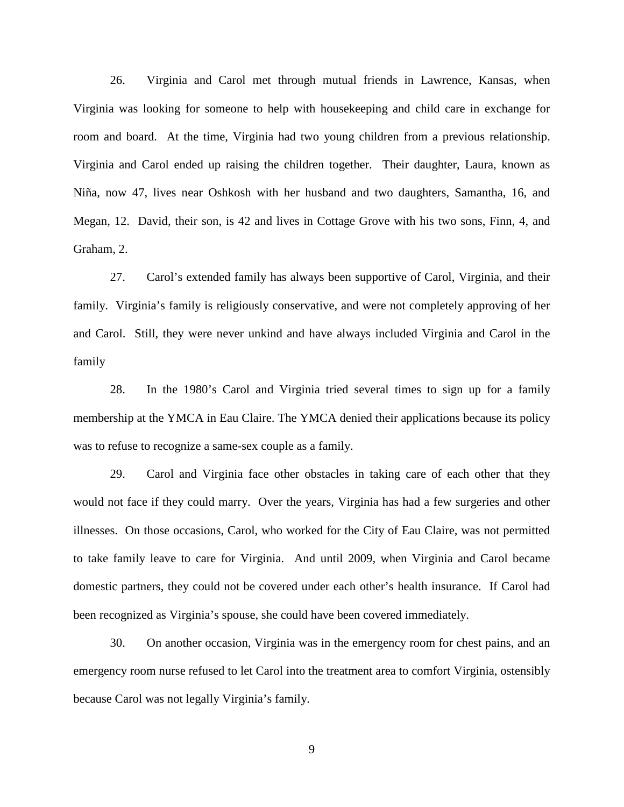26. Virginia and Carol met through mutual friends in Lawrence, Kansas, when Virginia was looking for someone to help with housekeeping and child care in exchange for room and board. At the time, Virginia had two young children from a previous relationship. Virginia and Carol ended up raising the children together. Their daughter, Laura, known as Niña, now 47, lives near Oshkosh with her husband and two daughters, Samantha, 16, and Megan, 12. David, their son, is 42 and lives in Cottage Grove with his two sons, Finn, 4, and Graham, 2.

27. Carol's extended family has always been supportive of Carol, Virginia, and their family. Virginia's family is religiously conservative, and were not completely approving of her and Carol. Still, they were never unkind and have always included Virginia and Carol in the family

28. In the 1980's Carol and Virginia tried several times to sign up for a family membership at the YMCA in Eau Claire. The YMCA denied their applications because its policy was to refuse to recognize a same-sex couple as a family.

29. Carol and Virginia face other obstacles in taking care of each other that they would not face if they could marry. Over the years, Virginia has had a few surgeries and other illnesses. On those occasions, Carol, who worked for the City of Eau Claire, was not permitted to take family leave to care for Virginia. And until 2009, when Virginia and Carol became domestic partners, they could not be covered under each other's health insurance. If Carol had been recognized as Virginia's spouse, she could have been covered immediately.

30. On another occasion, Virginia was in the emergency room for chest pains, and an emergency room nurse refused to let Carol into the treatment area to comfort Virginia, ostensibly because Carol was not legally Virginia's family.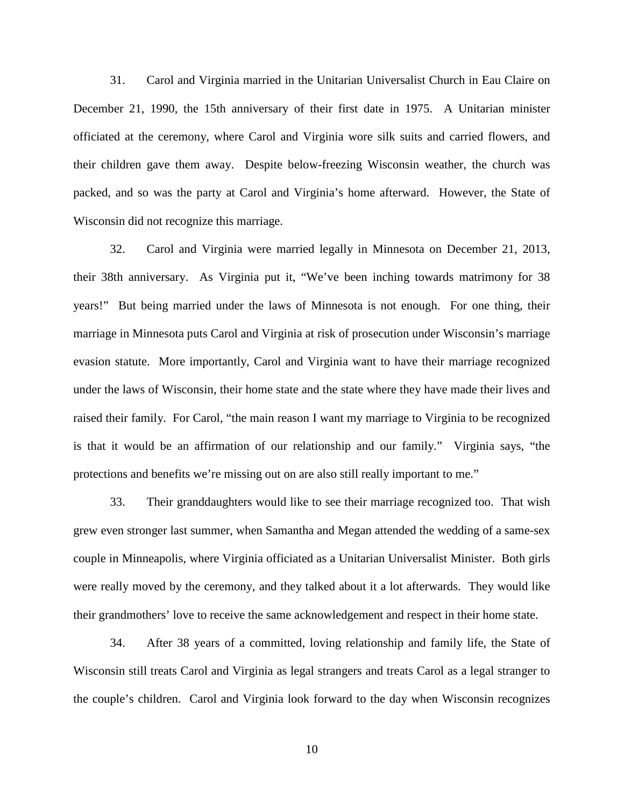31. Carol and Virginia married in the Unitarian Universalist Church in Eau Claire on December 21, 1990, the 15th anniversary of their first date in 1975. A Unitarian minister officiated at the ceremony, where Carol and Virginia wore silk suits and carried flowers, and their children gave them away. Despite below-freezing Wisconsin weather, the church was packed, and so was the party at Carol and Virginia's home afterward. However, the State of Wisconsin did not recognize this marriage.

32. Carol and Virginia were married legally in Minnesota on December 21, 2013, their 38th anniversary. As Virginia put it, "We've been inching towards matrimony for 38 years!" But being married under the laws of Minnesota is not enough. For one thing, their marriage in Minnesota puts Carol and Virginia at risk of prosecution under Wisconsin's marriage evasion statute. More importantly, Carol and Virginia want to have their marriage recognized under the laws of Wisconsin, their home state and the state where they have made their lives and raised their family. For Carol, "the main reason I want my marriage to Virginia to be recognized is that it would be an affirmation of our relationship and our family." Virginia says, "the protections and benefits we're missing out on are also still really important to me."

33. Their granddaughters would like to see their marriage recognized too. That wish grew even stronger last summer, when Samantha and Megan attended the wedding of a same-sex couple in Minneapolis, where Virginia officiated as a Unitarian Universalist Minister. Both girls were really moved by the ceremony, and they talked about it a lot afterwards. They would like their grandmothers' love to receive the same acknowledgement and respect in their home state.

34. After 38 years of a committed, loving relationship and family life, the State of Wisconsin still treats Carol and Virginia as legal strangers and treats Carol as a legal stranger to the couple's children. Carol and Virginia look forward to the day when Wisconsin recognizes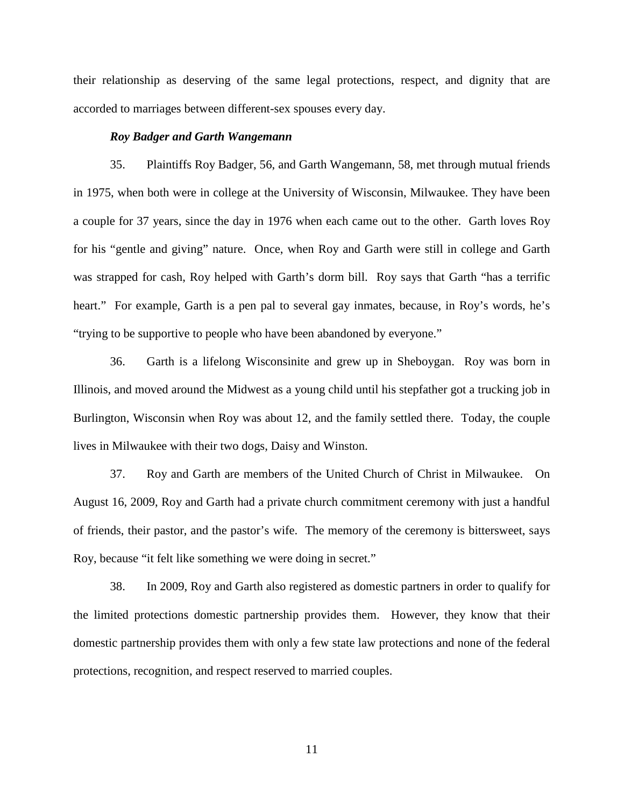their relationship as deserving of the same legal protections, respect, and dignity that are accorded to marriages between different-sex spouses every day.

#### *Roy Badger and Garth Wangemann*

35. Plaintiffs Roy Badger, 56, and Garth Wangemann, 58, met through mutual friends in 1975, when both were in college at the University of Wisconsin, Milwaukee. They have been a couple for 37 years, since the day in 1976 when each came out to the other. Garth loves Roy for his "gentle and giving" nature. Once, when Roy and Garth were still in college and Garth was strapped for cash, Roy helped with Garth's dorm bill. Roy says that Garth "has a terrific heart." For example, Garth is a pen pal to several gay inmates, because, in Roy's words, he's "trying to be supportive to people who have been abandoned by everyone."

36. Garth is a lifelong Wisconsinite and grew up in Sheboygan. Roy was born in Illinois, and moved around the Midwest as a young child until his stepfather got a trucking job in Burlington, Wisconsin when Roy was about 12, and the family settled there. Today, the couple lives in Milwaukee with their two dogs, Daisy and Winston.

37. Roy and Garth are members of the United Church of Christ in Milwaukee. On August 16, 2009, Roy and Garth had a private church commitment ceremony with just a handful of friends, their pastor, and the pastor's wife. The memory of the ceremony is bittersweet, says Roy, because "it felt like something we were doing in secret."

38. In 2009, Roy and Garth also registered as domestic partners in order to qualify for the limited protections domestic partnership provides them. However, they know that their domestic partnership provides them with only a few state law protections and none of the federal protections, recognition, and respect reserved to married couples.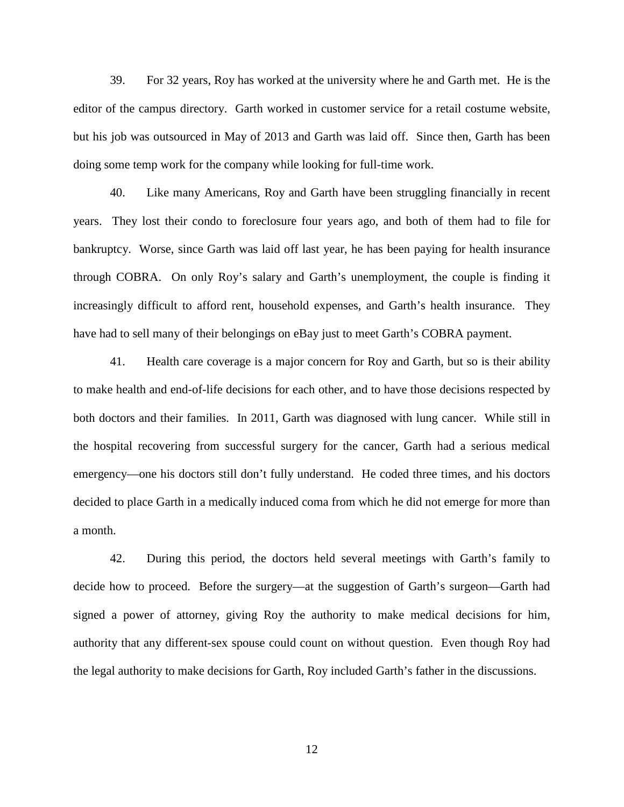39. For 32 years, Roy has worked at the university where he and Garth met. He is the editor of the campus directory. Garth worked in customer service for a retail costume website, but his job was outsourced in May of 2013 and Garth was laid off. Since then, Garth has been doing some temp work for the company while looking for full-time work.

40. Like many Americans, Roy and Garth have been struggling financially in recent years. They lost their condo to foreclosure four years ago, and both of them had to file for bankruptcy. Worse, since Garth was laid off last year, he has been paying for health insurance through COBRA. On only Roy's salary and Garth's unemployment, the couple is finding it increasingly difficult to afford rent, household expenses, and Garth's health insurance. They have had to sell many of their belongings on eBay just to meet Garth's COBRA payment.

41. Health care coverage is a major concern for Roy and Garth, but so is their ability to make health and end-of-life decisions for each other, and to have those decisions respected by both doctors and their families. In 2011, Garth was diagnosed with lung cancer. While still in the hospital recovering from successful surgery for the cancer, Garth had a serious medical emergency—one his doctors still don't fully understand. He coded three times, and his doctors decided to place Garth in a medically induced coma from which he did not emerge for more than a month.

42. During this period, the doctors held several meetings with Garth's family to decide how to proceed. Before the surgery—at the suggestion of Garth's surgeon—Garth had signed a power of attorney, giving Roy the authority to make medical decisions for him, authority that any different-sex spouse could count on without question. Even though Roy had the legal authority to make decisions for Garth, Roy included Garth's father in the discussions.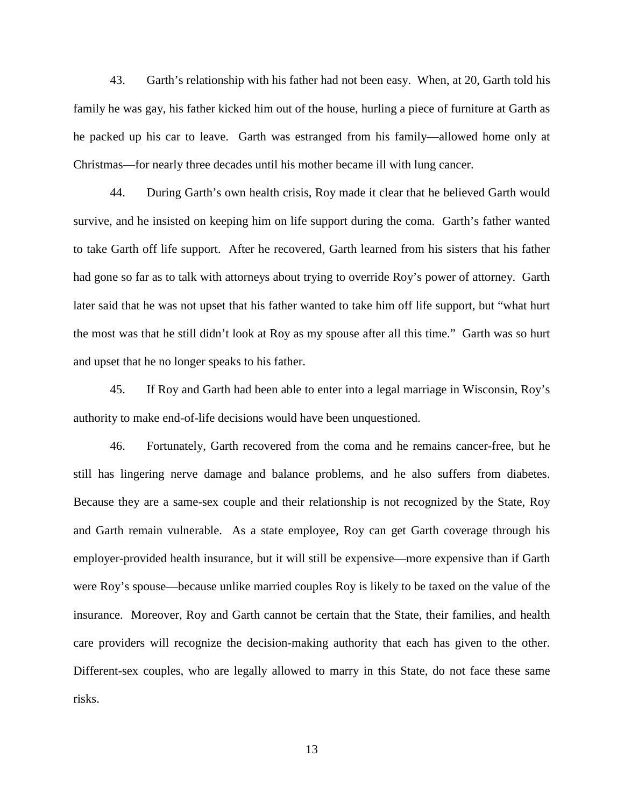43. Garth's relationship with his father had not been easy. When, at 20, Garth told his family he was gay, his father kicked him out of the house, hurling a piece of furniture at Garth as he packed up his car to leave. Garth was estranged from his family—allowed home only at Christmas—for nearly three decades until his mother became ill with lung cancer.

44. During Garth's own health crisis, Roy made it clear that he believed Garth would survive, and he insisted on keeping him on life support during the coma. Garth's father wanted to take Garth off life support. After he recovered, Garth learned from his sisters that his father had gone so far as to talk with attorneys about trying to override Roy's power of attorney. Garth later said that he was not upset that his father wanted to take him off life support, but "what hurt the most was that he still didn't look at Roy as my spouse after all this time." Garth was so hurt and upset that he no longer speaks to his father.

45. If Roy and Garth had been able to enter into a legal marriage in Wisconsin, Roy's authority to make end-of-life decisions would have been unquestioned.

46. Fortunately, Garth recovered from the coma and he remains cancer-free, but he still has lingering nerve damage and balance problems, and he also suffers from diabetes. Because they are a same-sex couple and their relationship is not recognized by the State, Roy and Garth remain vulnerable. As a state employee, Roy can get Garth coverage through his employer-provided health insurance, but it will still be expensive—more expensive than if Garth were Roy's spouse—because unlike married couples Roy is likely to be taxed on the value of the insurance. Moreover, Roy and Garth cannot be certain that the State, their families, and health care providers will recognize the decision-making authority that each has given to the other. Different-sex couples, who are legally allowed to marry in this State, do not face these same risks.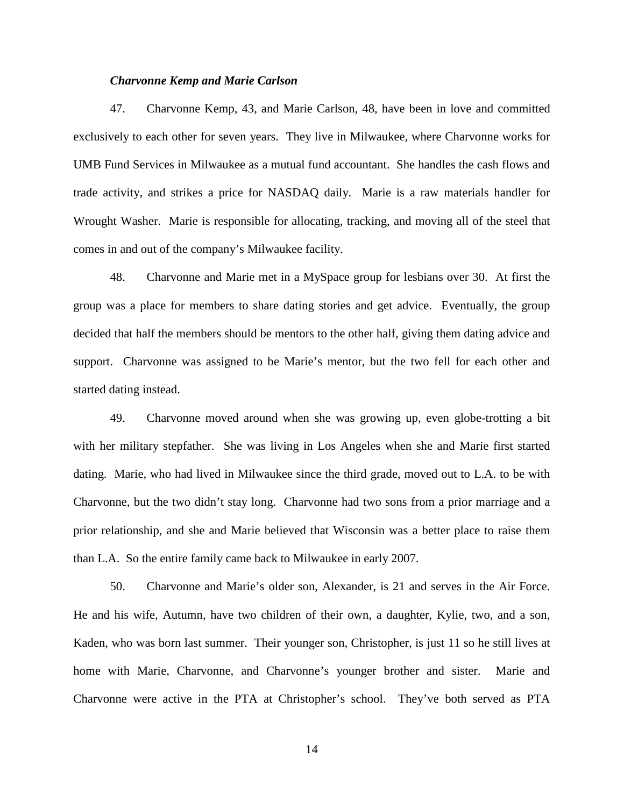#### *Charvonne Kemp and Marie Carlson*

47. Charvonne Kemp, 43, and Marie Carlson, 48, have been in love and committed exclusively to each other for seven years. They live in Milwaukee, where Charvonne works for UMB Fund Services in Milwaukee as a mutual fund accountant. She handles the cash flows and trade activity, and strikes a price for NASDAQ daily. Marie is a raw materials handler for Wrought Washer. Marie is responsible for allocating, tracking, and moving all of the steel that comes in and out of the company's Milwaukee facility.

48. Charvonne and Marie met in a MySpace group for lesbians over 30. At first the group was a place for members to share dating stories and get advice. Eventually, the group decided that half the members should be mentors to the other half, giving them dating advice and support. Charvonne was assigned to be Marie's mentor, but the two fell for each other and started dating instead.

49. Charvonne moved around when she was growing up, even globe-trotting a bit with her military stepfather. She was living in Los Angeles when she and Marie first started dating. Marie, who had lived in Milwaukee since the third grade, moved out to L.A. to be with Charvonne, but the two didn't stay long. Charvonne had two sons from a prior marriage and a prior relationship, and she and Marie believed that Wisconsin was a better place to raise them than L.A. So the entire family came back to Milwaukee in early 2007.

50. Charvonne and Marie's older son, Alexander, is 21 and serves in the Air Force. He and his wife, Autumn, have two children of their own, a daughter, Kylie, two, and a son, Kaden, who was born last summer. Their younger son, Christopher, is just 11 so he still lives at home with Marie, Charvonne, and Charvonne's younger brother and sister. Marie and Charvonne were active in the PTA at Christopher's school. They've both served as PTA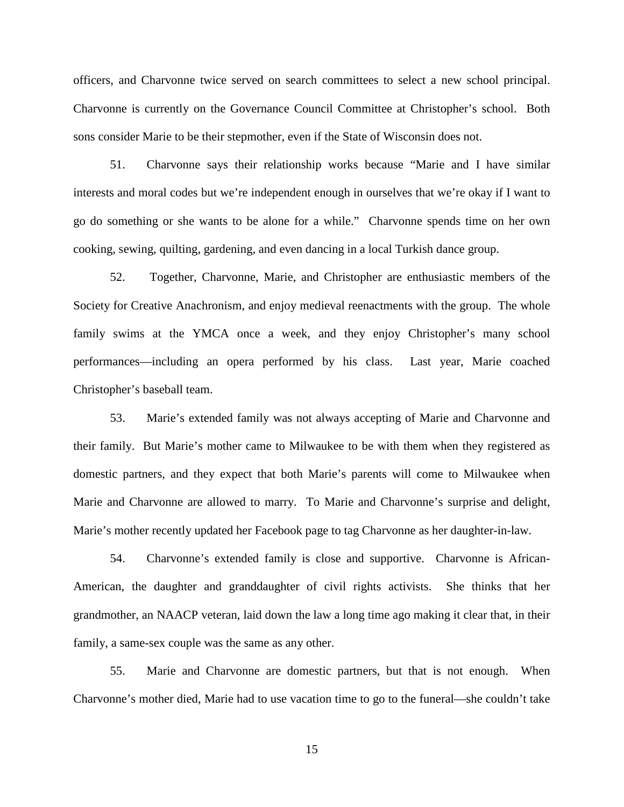officers, and Charvonne twice served on search committees to select a new school principal. Charvonne is currently on the Governance Council Committee at Christopher's school. Both sons consider Marie to be their stepmother, even if the State of Wisconsin does not.

51. Charvonne says their relationship works because "Marie and I have similar interests and moral codes but we're independent enough in ourselves that we're okay if I want to go do something or she wants to be alone for a while." Charvonne spends time on her own cooking, sewing, quilting, gardening, and even dancing in a local Turkish dance group.

52. Together, Charvonne, Marie, and Christopher are enthusiastic members of the Society for Creative Anachronism, and enjoy medieval reenactments with the group. The whole family swims at the YMCA once a week, and they enjoy Christopher's many school performances—including an opera performed by his class. Last year, Marie coached Christopher's baseball team.

53. Marie's extended family was not always accepting of Marie and Charvonne and their family. But Marie's mother came to Milwaukee to be with them when they registered as domestic partners, and they expect that both Marie's parents will come to Milwaukee when Marie and Charvonne are allowed to marry. To Marie and Charvonne's surprise and delight, Marie's mother recently updated her Facebook page to tag Charvonne as her daughter-in-law.

54. Charvonne's extended family is close and supportive. Charvonne is African-American, the daughter and granddaughter of civil rights activists. She thinks that her grandmother, an NAACP veteran, laid down the law a long time ago making it clear that, in their family, a same-sex couple was the same as any other.

55. Marie and Charvonne are domestic partners, but that is not enough. When Charvonne's mother died, Marie had to use vacation time to go to the funeral—she couldn't take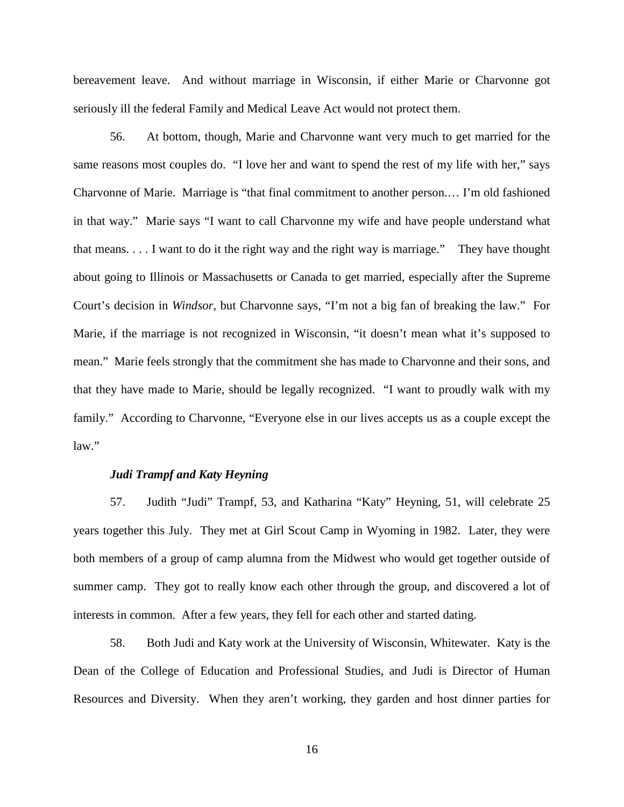bereavement leave. And without marriage in Wisconsin, if either Marie or Charvonne got seriously ill the federal Family and Medical Leave Act would not protect them.

56. At bottom, though, Marie and Charvonne want very much to get married for the same reasons most couples do. "I love her and want to spend the rest of my life with her," says Charvonne of Marie. Marriage is "that final commitment to another person.… I'm old fashioned in that way." Marie says "I want to call Charvonne my wife and have people understand what that means. . . . I want to do it the right way and the right way is marriage." They have thought about going to Illinois or Massachusetts or Canada to get married, especially after the Supreme Court's decision in *Windsor*, but Charvonne says, "I'm not a big fan of breaking the law." For Marie, if the marriage is not recognized in Wisconsin, "it doesn't mean what it's supposed to mean." Marie feels strongly that the commitment she has made to Charvonne and their sons, and that they have made to Marie, should be legally recognized. "I want to proudly walk with my family." According to Charvonne, "Everyone else in our lives accepts us as a couple except the law."

#### *Judi Trampf and Katy Heyning*

57. Judith "Judi" Trampf, 53, and Katharina "Katy" Heyning, 51, will celebrate 25 years together this July. They met at Girl Scout Camp in Wyoming in 1982. Later, they were both members of a group of camp alumna from the Midwest who would get together outside of summer camp. They got to really know each other through the group, and discovered a lot of interests in common. After a few years, they fell for each other and started dating.

58. Both Judi and Katy work at the University of Wisconsin, Whitewater. Katy is the Dean of the College of Education and Professional Studies, and Judi is Director of Human Resources and Diversity. When they aren't working, they garden and host dinner parties for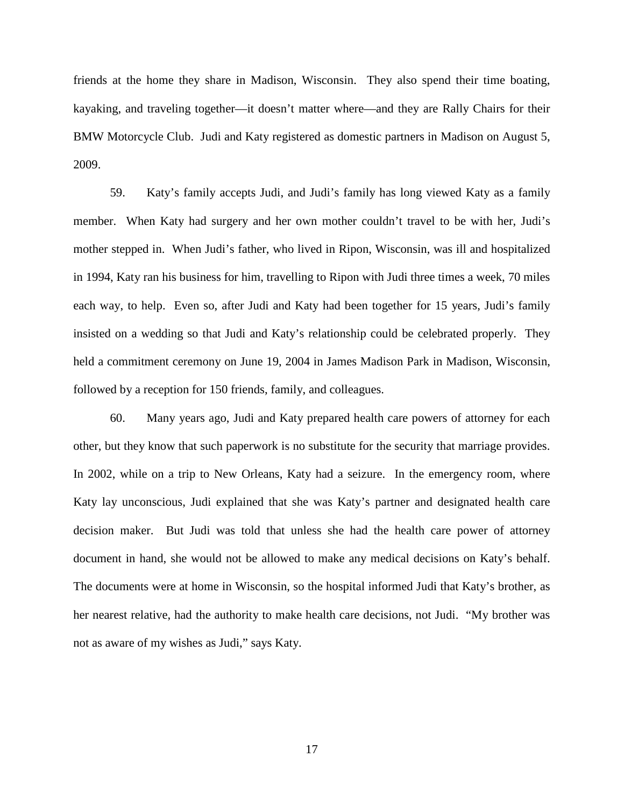friends at the home they share in Madison, Wisconsin. They also spend their time boating, kayaking, and traveling together—it doesn't matter where—and they are Rally Chairs for their BMW Motorcycle Club. Judi and Katy registered as domestic partners in Madison on August 5, 2009.

59. Katy's family accepts Judi, and Judi's family has long viewed Katy as a family member. When Katy had surgery and her own mother couldn't travel to be with her, Judi's mother stepped in. When Judi's father, who lived in Ripon, Wisconsin, was ill and hospitalized in 1994, Katy ran his business for him, travelling to Ripon with Judi three times a week, 70 miles each way, to help. Even so, after Judi and Katy had been together for 15 years, Judi's family insisted on a wedding so that Judi and Katy's relationship could be celebrated properly. They held a commitment ceremony on June 19, 2004 in James Madison Park in Madison, Wisconsin, followed by a reception for 150 friends, family, and colleagues.

60. Many years ago, Judi and Katy prepared health care powers of attorney for each other, but they know that such paperwork is no substitute for the security that marriage provides. In 2002, while on a trip to New Orleans, Katy had a seizure. In the emergency room, where Katy lay unconscious, Judi explained that she was Katy's partner and designated health care decision maker. But Judi was told that unless she had the health care power of attorney document in hand, she would not be allowed to make any medical decisions on Katy's behalf. The documents were at home in Wisconsin, so the hospital informed Judi that Katy's brother, as her nearest relative, had the authority to make health care decisions, not Judi. "My brother was not as aware of my wishes as Judi," says Katy.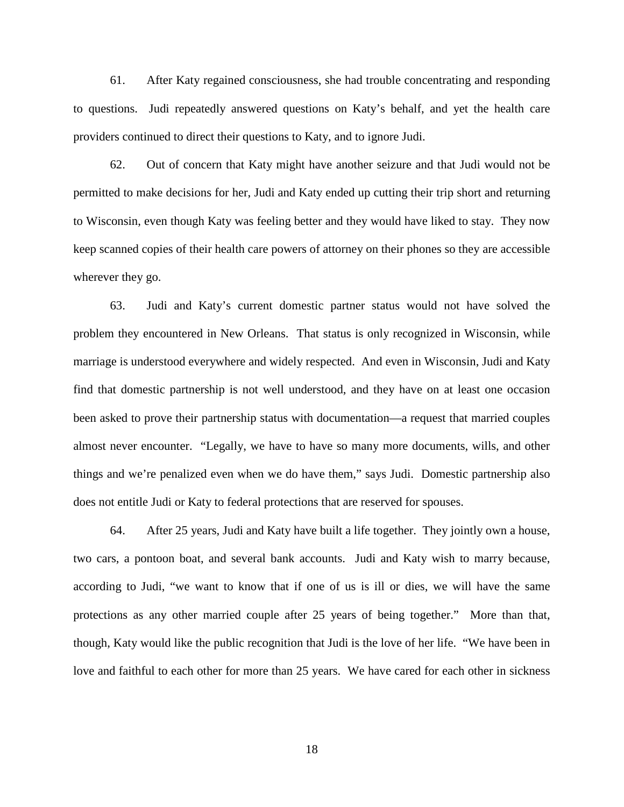61. After Katy regained consciousness, she had trouble concentrating and responding to questions. Judi repeatedly answered questions on Katy's behalf, and yet the health care providers continued to direct their questions to Katy, and to ignore Judi.

62. Out of concern that Katy might have another seizure and that Judi would not be permitted to make decisions for her, Judi and Katy ended up cutting their trip short and returning to Wisconsin, even though Katy was feeling better and they would have liked to stay. They now keep scanned copies of their health care powers of attorney on their phones so they are accessible wherever they go.

63. Judi and Katy's current domestic partner status would not have solved the problem they encountered in New Orleans. That status is only recognized in Wisconsin, while marriage is understood everywhere and widely respected. And even in Wisconsin, Judi and Katy find that domestic partnership is not well understood, and they have on at least one occasion been asked to prove their partnership status with documentation—a request that married couples almost never encounter. "Legally, we have to have so many more documents, wills, and other things and we're penalized even when we do have them," says Judi. Domestic partnership also does not entitle Judi or Katy to federal protections that are reserved for spouses.

64. After 25 years, Judi and Katy have built a life together. They jointly own a house, two cars, a pontoon boat, and several bank accounts. Judi and Katy wish to marry because, according to Judi, "we want to know that if one of us is ill or dies, we will have the same protections as any other married couple after 25 years of being together." More than that, though, Katy would like the public recognition that Judi is the love of her life. "We have been in love and faithful to each other for more than 25 years. We have cared for each other in sickness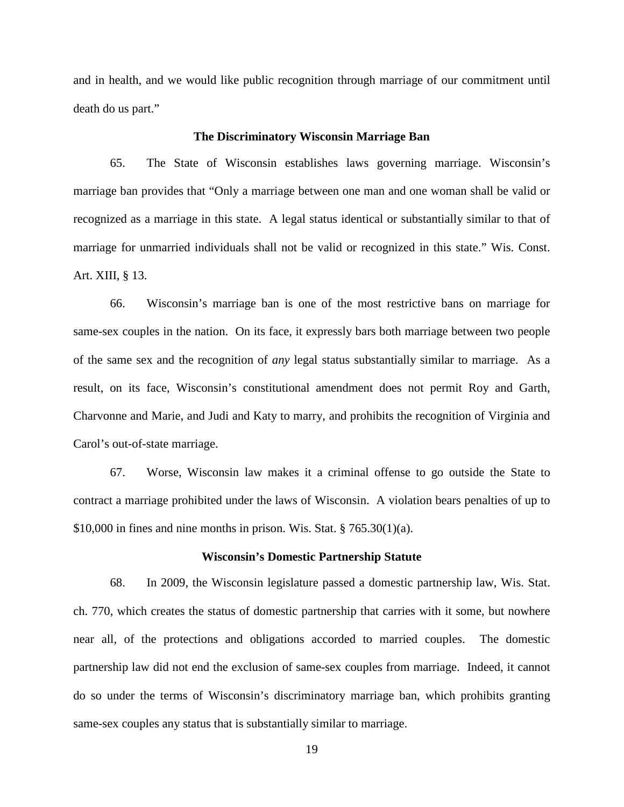and in health, and we would like public recognition through marriage of our commitment until death do us part."

#### **The Discriminatory Wisconsin Marriage Ban**

65. The State of Wisconsin establishes laws governing marriage. Wisconsin's marriage ban provides that "Only a marriage between one man and one woman shall be valid or recognized as a marriage in this state. A legal status identical or substantially similar to that of marriage for unmarried individuals shall not be valid or recognized in this state." Wis. Const. Art. XIII, § 13.

66. Wisconsin's marriage ban is one of the most restrictive bans on marriage for same-sex couples in the nation. On its face, it expressly bars both marriage between two people of the same sex and the recognition of *any* legal status substantially similar to marriage. As a result, on its face, Wisconsin's constitutional amendment does not permit Roy and Garth, Charvonne and Marie, and Judi and Katy to marry, and prohibits the recognition of Virginia and Carol's out-of-state marriage.

67. Worse, Wisconsin law makes it a criminal offense to go outside the State to contract a marriage prohibited under the laws of Wisconsin. A violation bears penalties of up to  $$10,000$  in fines and nine months in prison. Wis. Stat.  $$765.30(1)(a)$ .

#### **Wisconsin's Domestic Partnership Statute**

68. In 2009, the Wisconsin legislature passed a domestic partnership law, Wis. Stat. ch. 770, which creates the status of domestic partnership that carries with it some, but nowhere near all, of the protections and obligations accorded to married couples. The domestic partnership law did not end the exclusion of same-sex couples from marriage. Indeed, it cannot do so under the terms of Wisconsin's discriminatory marriage ban, which prohibits granting same-sex couples any status that is substantially similar to marriage.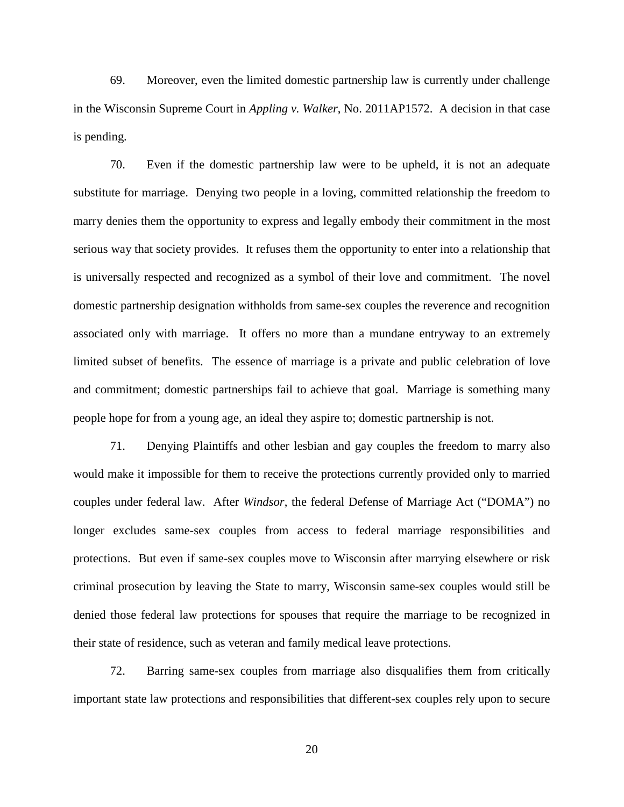69. Moreover, even the limited domestic partnership law is currently under challenge in the Wisconsin Supreme Court in *Appling v. Walker*, No. 2011AP1572. A decision in that case is pending.

70. Even if the domestic partnership law were to be upheld, it is not an adequate substitute for marriage. Denying two people in a loving, committed relationship the freedom to marry denies them the opportunity to express and legally embody their commitment in the most serious way that society provides. It refuses them the opportunity to enter into a relationship that is universally respected and recognized as a symbol of their love and commitment. The novel domestic partnership designation withholds from same-sex couples the reverence and recognition associated only with marriage. It offers no more than a mundane entryway to an extremely limited subset of benefits. The essence of marriage is a private and public celebration of love and commitment; domestic partnerships fail to achieve that goal. Marriage is something many people hope for from a young age, an ideal they aspire to; domestic partnership is not.

71. Denying Plaintiffs and other lesbian and gay couples the freedom to marry also would make it impossible for them to receive the protections currently provided only to married couples under federal law. After *Windsor*, the federal Defense of Marriage Act ("DOMA") no longer excludes same-sex couples from access to federal marriage responsibilities and protections. But even if same-sex couples move to Wisconsin after marrying elsewhere or risk criminal prosecution by leaving the State to marry, Wisconsin same-sex couples would still be denied those federal law protections for spouses that require the marriage to be recognized in their state of residence, such as veteran and family medical leave protections.

72. Barring same-sex couples from marriage also disqualifies them from critically important state law protections and responsibilities that different-sex couples rely upon to secure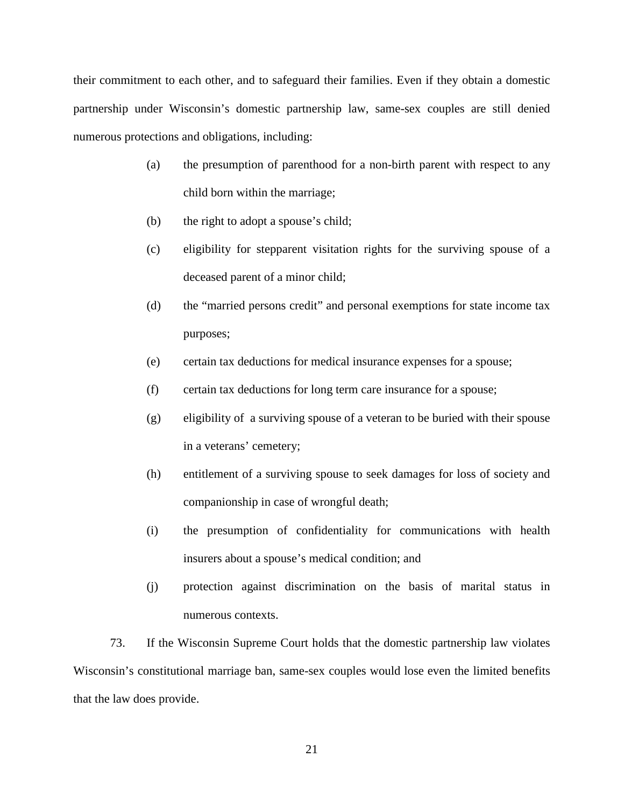their commitment to each other, and to safeguard their families. Even if they obtain a domestic partnership under Wisconsin's domestic partnership law, same-sex couples are still denied numerous protections and obligations, including:

- (a) the presumption of parenthood for a non-birth parent with respect to any child born within the marriage;
- (b) the right to adopt a spouse's child;
- (c) eligibility for stepparent visitation rights for the surviving spouse of a deceased parent of a minor child;
- (d) the "married persons credit" and personal exemptions for state income tax purposes;
- (e) certain tax deductions for medical insurance expenses for a spouse;
- (f) certain tax deductions for long term care insurance for a spouse;
- (g) eligibility of a surviving spouse of a veteran to be buried with their spouse in a veterans' cemetery;
- (h) entitlement of a surviving spouse to seek damages for loss of society and companionship in case of wrongful death;
- (i) the presumption of confidentiality for communications with health insurers about a spouse's medical condition; and
- (j) protection against discrimination on the basis of marital status in numerous contexts.

73. If the Wisconsin Supreme Court holds that the domestic partnership law violates Wisconsin's constitutional marriage ban, same-sex couples would lose even the limited benefits that the law does provide.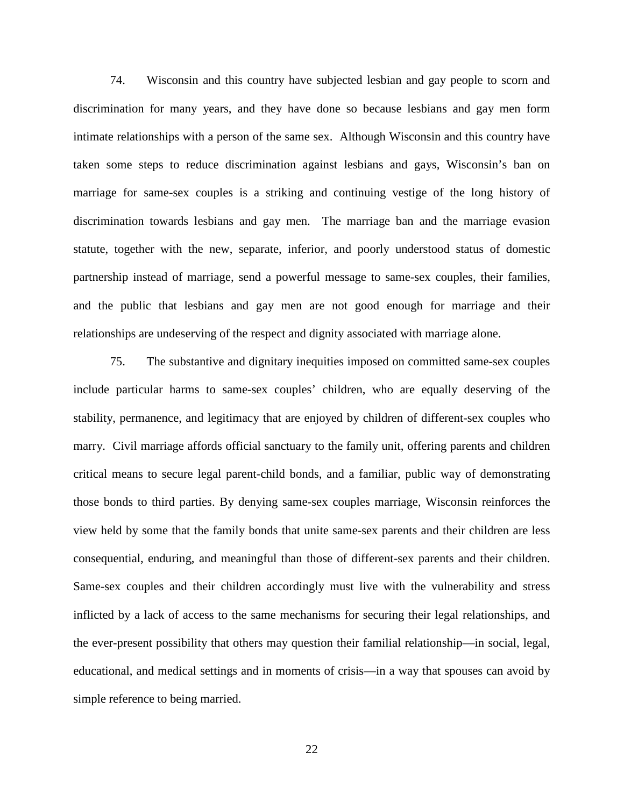74. Wisconsin and this country have subjected lesbian and gay people to scorn and discrimination for many years, and they have done so because lesbians and gay men form intimate relationships with a person of the same sex. Although Wisconsin and this country have taken some steps to reduce discrimination against lesbians and gays, Wisconsin's ban on marriage for same-sex couples is a striking and continuing vestige of the long history of discrimination towards lesbians and gay men. The marriage ban and the marriage evasion statute, together with the new, separate, inferior, and poorly understood status of domestic partnership instead of marriage, send a powerful message to same-sex couples, their families, and the public that lesbians and gay men are not good enough for marriage and their relationships are undeserving of the respect and dignity associated with marriage alone.

75. The substantive and dignitary inequities imposed on committed same-sex couples include particular harms to same-sex couples' children, who are equally deserving of the stability, permanence, and legitimacy that are enjoyed by children of different-sex couples who marry. Civil marriage affords official sanctuary to the family unit, offering parents and children critical means to secure legal parent-child bonds, and a familiar, public way of demonstrating those bonds to third parties. By denying same-sex couples marriage, Wisconsin reinforces the view held by some that the family bonds that unite same-sex parents and their children are less consequential, enduring, and meaningful than those of different-sex parents and their children. Same-sex couples and their children accordingly must live with the vulnerability and stress inflicted by a lack of access to the same mechanisms for securing their legal relationships, and the ever-present possibility that others may question their familial relationship—in social, legal, educational, and medical settings and in moments of crisis—in a way that spouses can avoid by simple reference to being married.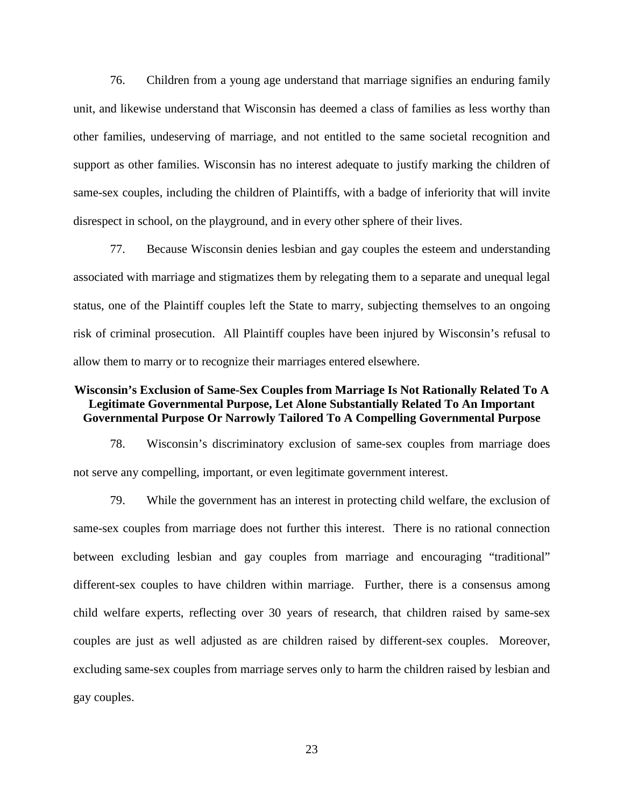76. Children from a young age understand that marriage signifies an enduring family unit, and likewise understand that Wisconsin has deemed a class of families as less worthy than other families, undeserving of marriage, and not entitled to the same societal recognition and support as other families. Wisconsin has no interest adequate to justify marking the children of same-sex couples, including the children of Plaintiffs, with a badge of inferiority that will invite disrespect in school, on the playground, and in every other sphere of their lives.

77. Because Wisconsin denies lesbian and gay couples the esteem and understanding associated with marriage and stigmatizes them by relegating them to a separate and unequal legal status, one of the Plaintiff couples left the State to marry, subjecting themselves to an ongoing risk of criminal prosecution. All Plaintiff couples have been injured by Wisconsin's refusal to allow them to marry or to recognize their marriages entered elsewhere.

## **Wisconsin's Exclusion of Same-Sex Couples from Marriage Is Not Rationally Related To A Legitimate Governmental Purpose, Let Alone Substantially Related To An Important Governmental Purpose Or Narrowly Tailored To A Compelling Governmental Purpose**

78. Wisconsin's discriminatory exclusion of same-sex couples from marriage does not serve any compelling, important, or even legitimate government interest.

79. While the government has an interest in protecting child welfare, the exclusion of same-sex couples from marriage does not further this interest. There is no rational connection between excluding lesbian and gay couples from marriage and encouraging "traditional" different-sex couples to have children within marriage. Further, there is a consensus among child welfare experts, reflecting over 30 years of research, that children raised by same-sex couples are just as well adjusted as are children raised by different-sex couples. Moreover, excluding same-sex couples from marriage serves only to harm the children raised by lesbian and gay couples.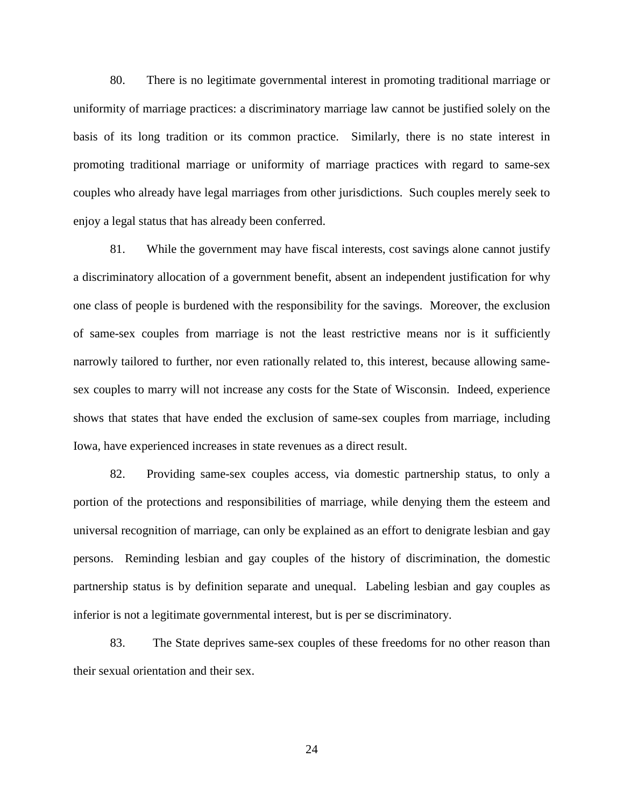80. There is no legitimate governmental interest in promoting traditional marriage or uniformity of marriage practices: a discriminatory marriage law cannot be justified solely on the basis of its long tradition or its common practice. Similarly, there is no state interest in promoting traditional marriage or uniformity of marriage practices with regard to same-sex couples who already have legal marriages from other jurisdictions. Such couples merely seek to enjoy a legal status that has already been conferred.

81. While the government may have fiscal interests, cost savings alone cannot justify a discriminatory allocation of a government benefit, absent an independent justification for why one class of people is burdened with the responsibility for the savings. Moreover, the exclusion of same-sex couples from marriage is not the least restrictive means nor is it sufficiently narrowly tailored to further, nor even rationally related to, this interest, because allowing samesex couples to marry will not increase any costs for the State of Wisconsin. Indeed, experience shows that states that have ended the exclusion of same-sex couples from marriage, including Iowa, have experienced increases in state revenues as a direct result.

82. Providing same-sex couples access, via domestic partnership status, to only a portion of the protections and responsibilities of marriage, while denying them the esteem and universal recognition of marriage, can only be explained as an effort to denigrate lesbian and gay persons. Reminding lesbian and gay couples of the history of discrimination, the domestic partnership status is by definition separate and unequal. Labeling lesbian and gay couples as inferior is not a legitimate governmental interest, but is per se discriminatory.

83. The State deprives same-sex couples of these freedoms for no other reason than their sexual orientation and their sex.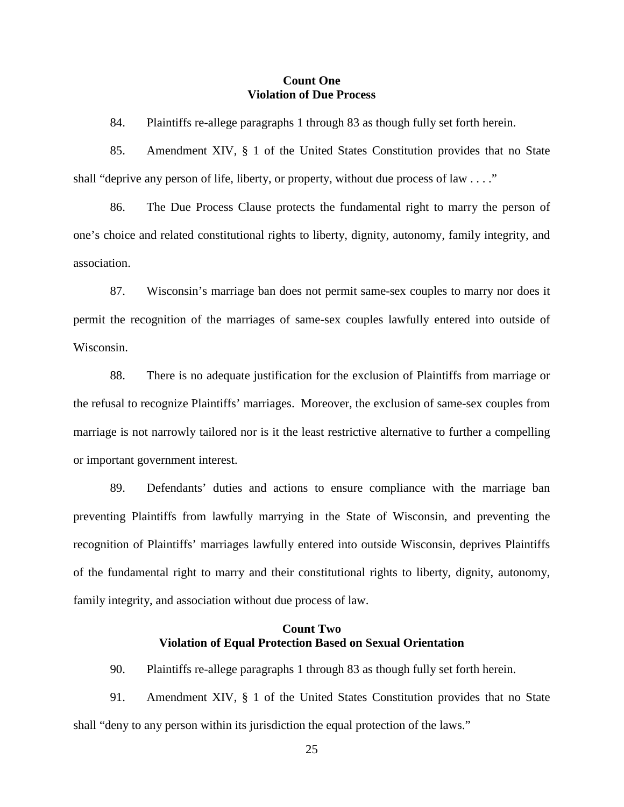## **Count One Violation of Due Process**

84. Plaintiffs re-allege paragraphs 1 through 83 as though fully set forth herein.

85. Amendment XIV, § 1 of the United States Constitution provides that no State shall "deprive any person of life, liberty, or property, without due process of law . . . ."

86. The Due Process Clause protects the fundamental right to marry the person of one's choice and related constitutional rights to liberty, dignity, autonomy, family integrity, and association.

87. Wisconsin's marriage ban does not permit same-sex couples to marry nor does it permit the recognition of the marriages of same-sex couples lawfully entered into outside of Wisconsin.

88. There is no adequate justification for the exclusion of Plaintiffs from marriage or the refusal to recognize Plaintiffs' marriages. Moreover, the exclusion of same-sex couples from marriage is not narrowly tailored nor is it the least restrictive alternative to further a compelling or important government interest.

89. Defendants' duties and actions to ensure compliance with the marriage ban preventing Plaintiffs from lawfully marrying in the State of Wisconsin, and preventing the recognition of Plaintiffs' marriages lawfully entered into outside Wisconsin, deprives Plaintiffs of the fundamental right to marry and their constitutional rights to liberty, dignity, autonomy, family integrity, and association without due process of law.

## **Count Two Violation of Equal Protection Based on Sexual Orientation**

90. Plaintiffs re-allege paragraphs 1 through 83 as though fully set forth herein.

91. Amendment XIV, § 1 of the United States Constitution provides that no State shall "deny to any person within its jurisdiction the equal protection of the laws."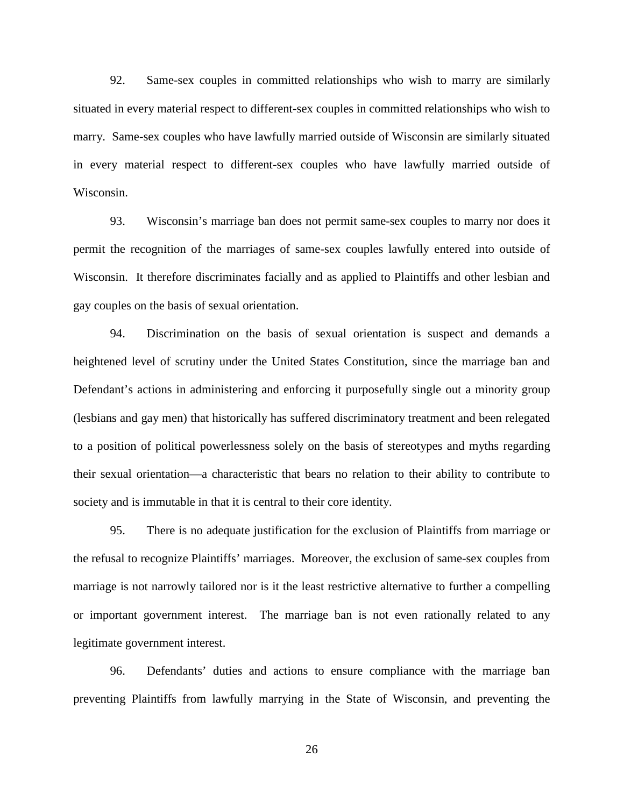92. Same-sex couples in committed relationships who wish to marry are similarly situated in every material respect to different-sex couples in committed relationships who wish to marry. Same-sex couples who have lawfully married outside of Wisconsin are similarly situated in every material respect to different-sex couples who have lawfully married outside of Wisconsin.

93. Wisconsin's marriage ban does not permit same-sex couples to marry nor does it permit the recognition of the marriages of same-sex couples lawfully entered into outside of Wisconsin. It therefore discriminates facially and as applied to Plaintiffs and other lesbian and gay couples on the basis of sexual orientation.

94. Discrimination on the basis of sexual orientation is suspect and demands a heightened level of scrutiny under the United States Constitution, since the marriage ban and Defendant's actions in administering and enforcing it purposefully single out a minority group (lesbians and gay men) that historically has suffered discriminatory treatment and been relegated to a position of political powerlessness solely on the basis of stereotypes and myths regarding their sexual orientation—a characteristic that bears no relation to their ability to contribute to society and is immutable in that it is central to their core identity.

95. There is no adequate justification for the exclusion of Plaintiffs from marriage or the refusal to recognize Plaintiffs' marriages. Moreover, the exclusion of same-sex couples from marriage is not narrowly tailored nor is it the least restrictive alternative to further a compelling or important government interest. The marriage ban is not even rationally related to any legitimate government interest.

96. Defendants' duties and actions to ensure compliance with the marriage ban preventing Plaintiffs from lawfully marrying in the State of Wisconsin, and preventing the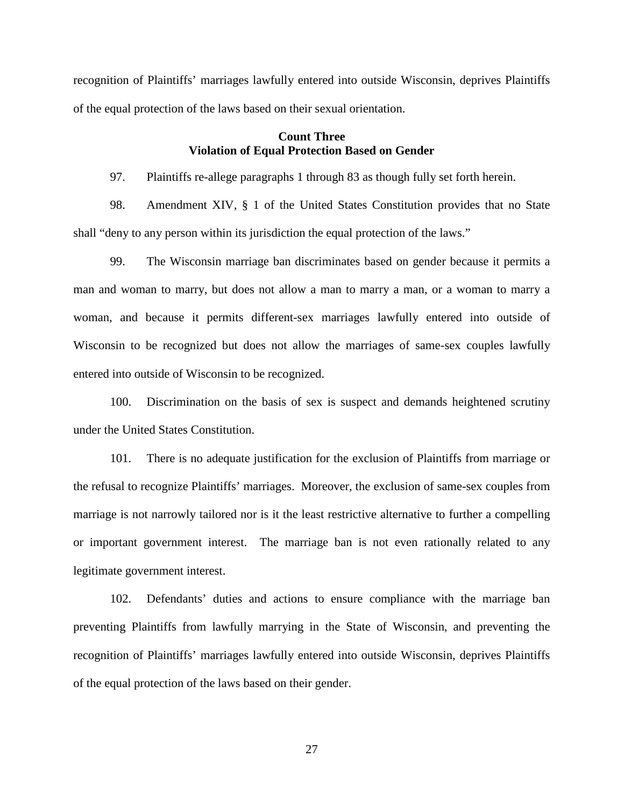recognition of Plaintiffs' marriages lawfully entered into outside Wisconsin, deprives Plaintiffs of the equal protection of the laws based on their sexual orientation.

# **Count Three Violation of Equal Protection Based on Gender**

97. Plaintiffs re-allege paragraphs 1 through 83 as though fully set forth herein.

98. Amendment XIV, § 1 of the United States Constitution provides that no State shall "deny to any person within its jurisdiction the equal protection of the laws."

99. The Wisconsin marriage ban discriminates based on gender because it permits a man and woman to marry, but does not allow a man to marry a man, or a woman to marry a woman, and because it permits different-sex marriages lawfully entered into outside of Wisconsin to be recognized but does not allow the marriages of same-sex couples lawfully entered into outside of Wisconsin to be recognized.

100. Discrimination on the basis of sex is suspect and demands heightened scrutiny under the United States Constitution.

101. There is no adequate justification for the exclusion of Plaintiffs from marriage or the refusal to recognize Plaintiffs' marriages. Moreover, the exclusion of same-sex couples from marriage is not narrowly tailored nor is it the least restrictive alternative to further a compelling or important government interest. The marriage ban is not even rationally related to any legitimate government interest.

102. Defendants' duties and actions to ensure compliance with the marriage ban preventing Plaintiffs from lawfully marrying in the State of Wisconsin, and preventing the recognition of Plaintiffs' marriages lawfully entered into outside Wisconsin, deprives Plaintiffs of the equal protection of the laws based on their gender.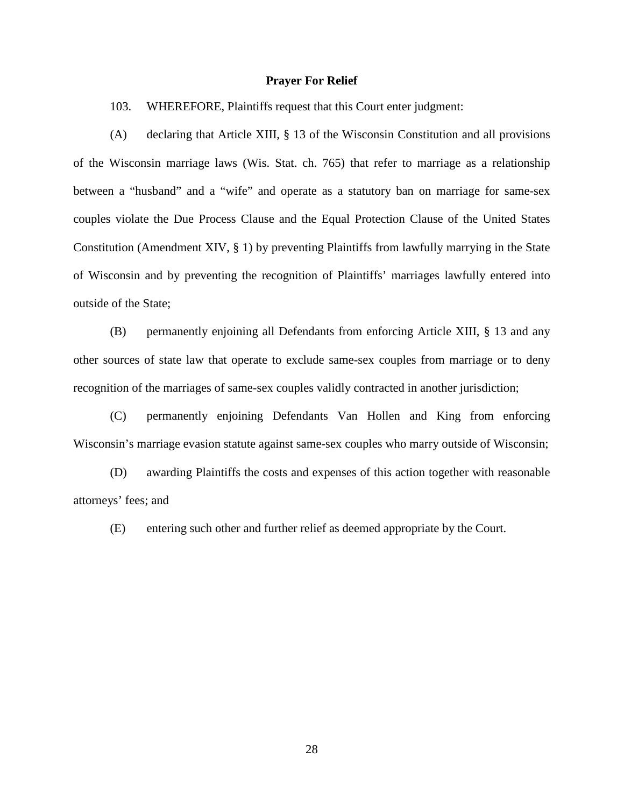## **Prayer For Relief**

103. WHEREFORE, Plaintiffs request that this Court enter judgment:

(A) declaring that Article XIII, § 13 of the Wisconsin Constitution and all provisions of the Wisconsin marriage laws (Wis. Stat. ch. 765) that refer to marriage as a relationship between a "husband" and a "wife" and operate as a statutory ban on marriage for same-sex couples violate the Due Process Clause and the Equal Protection Clause of the United States Constitution (Amendment XIV, § 1) by preventing Plaintiffs from lawfully marrying in the State of Wisconsin and by preventing the recognition of Plaintiffs' marriages lawfully entered into outside of the State;

(B) permanently enjoining all Defendants from enforcing Article XIII, § 13 and any other sources of state law that operate to exclude same-sex couples from marriage or to deny recognition of the marriages of same-sex couples validly contracted in another jurisdiction;

(C) permanently enjoining Defendants Van Hollen and King from enforcing Wisconsin's marriage evasion statute against same-sex couples who marry outside of Wisconsin;

(D) awarding Plaintiffs the costs and expenses of this action together with reasonable attorneys' fees; and

(E) entering such other and further relief as deemed appropriate by the Court.